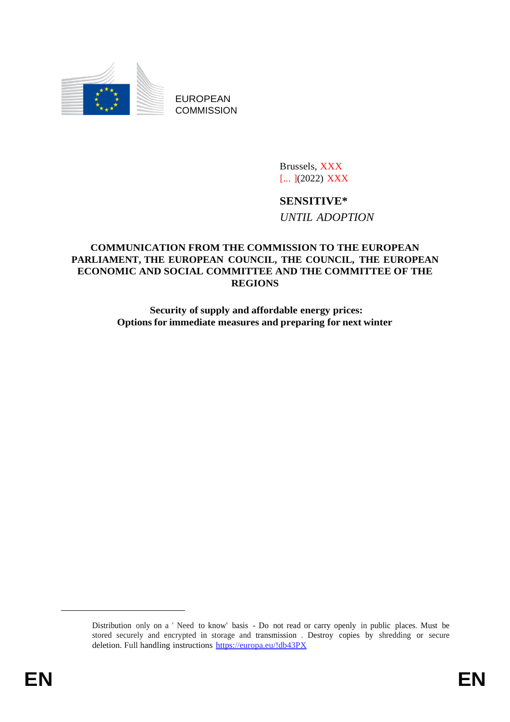

EUROPEAN **COMMISSION** 

> Brussels, XXX [... ](2022) XXX

# **SENSITIVE\***

*UNTIL ADOPTION*

# **COMMUNICATION FROM THE COMMISSION TO THE EUROPEAN PARLIAMENT, THE EUROPEAN COUNCIL, THE COUNCIL, THE EUROPEAN ECONOMIC AND SOCIAL COMMITTEE AND THE COMMITTEE OF THE REGIONS**

**Security of supply and affordable energy prices: Options for immediate measures and preparing for next winter**

Distribution only on a ' Need to know' basis - Do not read or carry openly in public places. Must be stored securely and encrypted in storage and transmission . Destroy copies by shredding or secure deletion. Full handling instructions https://europa.eu/!db43PX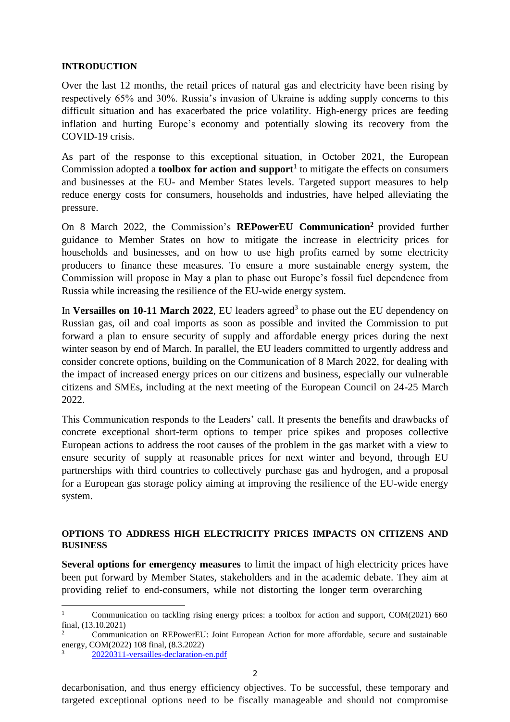#### **INTRODUCTION**

Over the last 12 months, the retail prices of natural gas and electricity have been rising by respectively 65% and 30%. Russia's invasion of Ukraine is adding supply concerns to this difficult situation and has exacerbated the price volatility. High-energy prices are feeding inflation and hurting Europe's economy and potentially slowing its recovery from the COVID-19 crisis.

As part of the response to this exceptional situation, in October 2021, the European Commission adopted a **toolbox for action and support**<sup>1</sup> to mitigate the effects on consumers and businesses at the EU- and Member States levels. Targeted support measures to help reduce energy costs for consumers, households and industries, have helped alleviating the pressure.

On 8 March 2022, the Commission's **REPowerEU Communication<sup>2</sup>** provided further guidance to Member States on how to mitigate the increase in electricity prices for households and businesses, and on how to use high profits earned by some electricity producers to finance these measures. To ensure a more sustainable energy system, the Commission will propose in May a plan to phase out Europe's fossil fuel dependence from Russia while increasing the resilience of the EU-wide energy system.

In Versailles on 10-11 March 2022, EU leaders agreed<sup>3</sup> to phase out the EU dependency on Russian gas, oil and coal imports as soon as possible and invited the Commission to put forward a plan to ensure security of supply and affordable energy prices during the next winter season by end of March. In parallel, the EU leaders committed to urgently address and consider concrete options, building on the Communication of 8 March 2022, for dealing with the impact of increased energy prices on our citizens and business, especially our vulnerable citizens and SMEs, including at the next meeting of the European Council on 24-25 March 2022.

This Communication responds to the Leaders' call. It presents the benefits and drawbacks of concrete exceptional short-term options to temper price spikes and proposes collective European actions to address the root causes of the problem in the gas market with a view to ensure security of supply at reasonable prices for next winter and beyond, through EU partnerships with third countries to collectively purchase gas and hydrogen, and a proposal for a European gas storage policy aiming at improving the resilience of the EU-wide energy system.

### **OPTIONS TO ADDRESS HIGH ELECTRICITY PRICES IMPACTS ON CITIZENS AND BUSINESS**

**Several options for emergency measures** to limit the impact of high electricity prices have been put forward by Member States, stakeholders and in the academic debate. They aim at providing relief to end-consumers, while not distorting the longer term overarching

decarbonisation, and thus energy efficiency objectives. To be successful, these temporary and targeted exceptional options need to be fiscally manageable and should not compromise

<sup>&</sup>lt;sup>1</sup> Communication on tackling rising energy prices: a toolbox for action and support, COM(2021) 660 final, (13.10.2021)

<sup>2</sup> Communication on REPowerEU: Joint European Action for more affordable, secure and sustainable energy, COM(2022) 108 final, (8.3.2022)

<sup>3</sup> [20220311-versailles-declaration-en.pdf](https://presidence-francaise.consilium.europa.eu/media/qphpn2e3/20220311-versailles-declaration-en.pdf)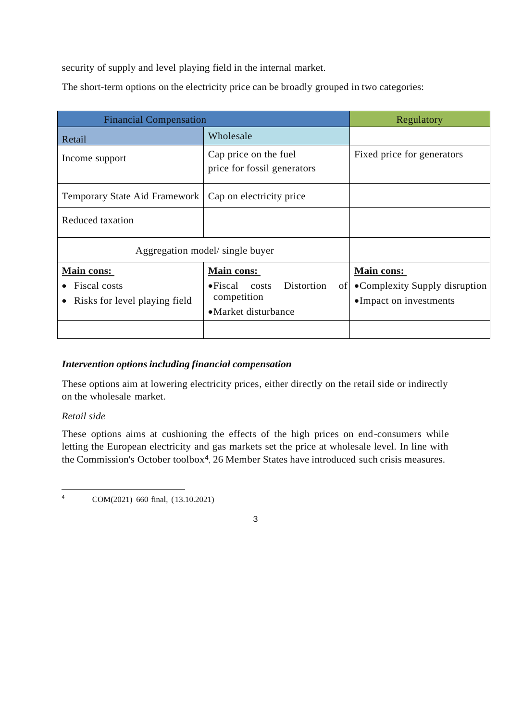security of supply and level playing field in the internal market.

The short-term options on the electricity price can be broadly grouped in two categories:

| <b>Financial Compensation</b>                                      |                                                                                                                    | Regulatory                                                             |
|--------------------------------------------------------------------|--------------------------------------------------------------------------------------------------------------------|------------------------------------------------------------------------|
| Retail                                                             | Wholesale                                                                                                          |                                                                        |
| Income support                                                     | Cap price on the fuel<br>price for fossil generators                                                               | Fixed price for generators                                             |
| <b>Temporary State Aid Framework</b>                               | Cap on electricity price                                                                                           |                                                                        |
| <b>Reduced taxation</b>                                            |                                                                                                                    |                                                                        |
| Aggregation model/ single buyer                                    |                                                                                                                    |                                                                        |
| <b>Main cons:</b><br>Fiscal costs<br>Risks for level playing field | <b>Main cons:</b><br>Distortion<br>$\bullet$ Fiscal costs<br>0 <sup>t</sup><br>competition<br>• Market disturbance | Main cons:<br>• Complexity Supply disruption<br>•Impact on investments |

# *Intervention optionsincluding financial compensation*

These options aim at lowering electricity prices, either directly on the retail side or indirectly on the wholesale market.

### *Retail side*

These options aims at cushioning the effects of the high prices on end-consumers while letting the European electricity and gas markets set the price at wholesale level. In line with the Commission's October toolbox<sup>4</sup> , 26 Member States have introduced such crisis measures.

<sup>4</sup> COM(2021) 660 final, (13.10.2021)

3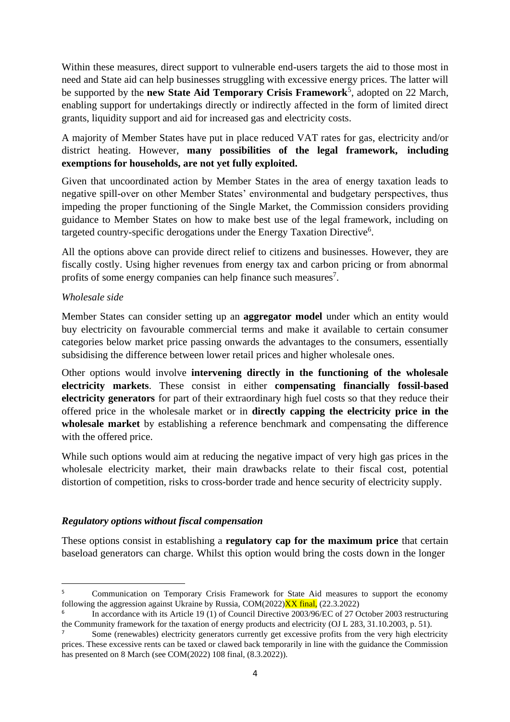Within these measures, direct support to vulnerable end-users targets the aid to those most in need and State aid can help businesses struggling with excessive energy prices. The latter will be supported by the **new State Aid Temporary Crisis Framework**<sup>5</sup> , adopted on 22 March, enabling support for undertakings directly or indirectly affected in the form of limited direct grants, liquidity support and aid for increased gas and electricity costs.

A majority of Member States have put in place reduced VAT rates for gas, electricity and/or district heating. However, **many possibilities of the legal framework, including exemptions for households, are not yet fully exploited.**

Given that uncoordinated action by Member States in the area of energy taxation leads to negative spill-over on other Member States' environmental and budgetary perspectives, thus impeding the proper functioning of the Single Market, the Commission considers providing guidance to Member States on how to make best use of the legal framework, including on targeted country-specific derogations under the Energy Taxation Directive<sup>6</sup>.

All the options above can provide direct relief to citizens and businesses. However, they are fiscally costly. Using higher revenues from energy tax and carbon pricing or from abnormal profits of some energy companies can help finance such measures<sup>7</sup>.

# *Wholesale side*

Member States can consider setting up an **aggregator model** under which an entity would buy electricity on favourable commercial terms and make it available to certain consumer categories below market price passing onwards the advantages to the consumers, essentially subsidising the difference between lower retail prices and higher wholesale ones.

Other options would involve **intervening directly in the functioning of the wholesale electricity markets**. These consist in either **compensating financially fossil-based electricity generators** for part of their extraordinary high fuel costs so that they reduce their offered price in the wholesale market or in **directly capping the electricity price in the wholesale market** by establishing a reference benchmark and compensating the difference with the offered price.

While such options would aim at reducing the negative impact of very high gas prices in the wholesale electricity market, their main drawbacks relate to their fiscal cost, potential distortion of competition, risks to cross-border trade and hence security of electricity supply.

# *Regulatory options without fiscal compensation*

These options consist in establishing a **regulatory cap for the maximum price** that certain baseload generators can charge. Whilst this option would bring the costs down in the longer

<sup>&</sup>lt;sup>5</sup> Communication on Temporary Crisis Framework for State Aid measures to support the economy following the aggression against Ukraine by Russia,  $COM(2022)$  $\overline{XX}$  final, (22.3.2022)

<sup>6</sup> In accordance with its Article 19 (1) of Council Directive 2003/96/EC of 27 October 2003 restructuring the Community framework for the taxation of energy products and electricity (OJ L 283, 31.10.2003, p. 51).

<sup>7</sup> Some (renewables) electricity generators currently get excessive profits from the very high electricity prices. These excessive rents can be taxed or clawed back temporarily in line with the guidance the Commission has presented on 8 March (see COM(2022) 108 final, (8.3.2022)).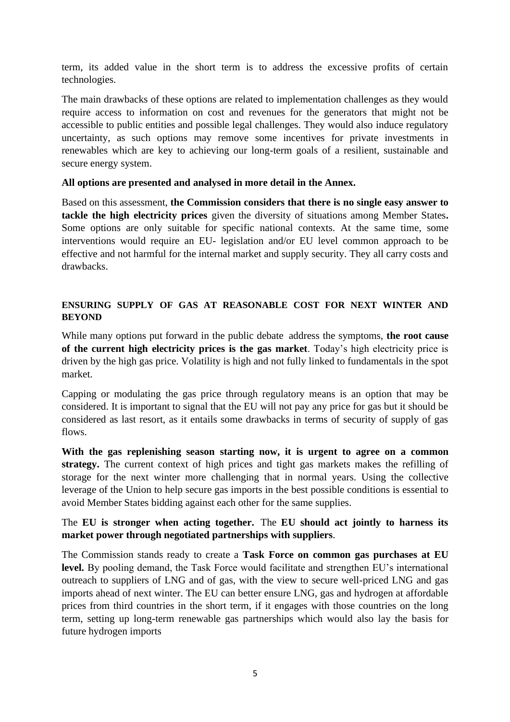term, its added value in the short term is to address the excessive profits of certain technologies.

The main drawbacks of these options are related to implementation challenges as they would require access to information on cost and revenues for the generators that might not be accessible to public entities and possible legal challenges. They would also induce regulatory uncertainty, as such options may remove some incentives for private investments in renewables which are key to achieving our long-term goals of a resilient, sustainable and secure energy system.

### **All options are presented and analysed in more detail in the Annex.**

Based on this assessment, **the Commission considers that there is no single easy answer to tackle the high electricity prices** given the diversity of situations among Member States**.** Some options are only suitable for specific national contexts. At the same time, some interventions would require an EU- legislation and/or EU level common approach to be effective and not harmful for the internal market and supply security. They all carry costs and drawbacks.

# **ENSURING SUPPLY OF GAS AT REASONABLE COST FOR NEXT WINTER AND BEYOND**

While many options put forward in the public debate address the symptoms, **the root cause of the current high electricity prices is the gas market**. Today's high electricity price is driven by the high gas price. Volatility is high and not fully linked to fundamentals in the spot market.

Capping or modulating the gas price through regulatory means is an option that may be considered. It is important to signal that the EU will not pay any price for gas but it should be considered as last resort, as it entails some drawbacks in terms of security of supply of gas flows.

**With the gas replenishing season starting now, it is urgent to agree on a common strategy.** The current context of high prices and tight gas markets makes the refilling of storage for the next winter more challenging that in normal years. Using the collective leverage of the Union to help secure gas imports in the best possible conditions is essential to avoid Member States bidding against each other for the same supplies.

# The **EU is stronger when acting together.** The **EU should act jointly to harness its market power through negotiated partnerships with suppliers**.

The Commission stands ready to create a **Task Force on common gas purchases at EU level.** By pooling demand, the Task Force would facilitate and strengthen EU's international outreach to suppliers of LNG and of gas, with the view to secure well-priced LNG and gas imports ahead of next winter. The EU can better ensure LNG, gas and hydrogen at affordable prices from third countries in the short term, if it engages with those countries on the long term, setting up long-term renewable gas partnerships which would also lay the basis for future hydrogen imports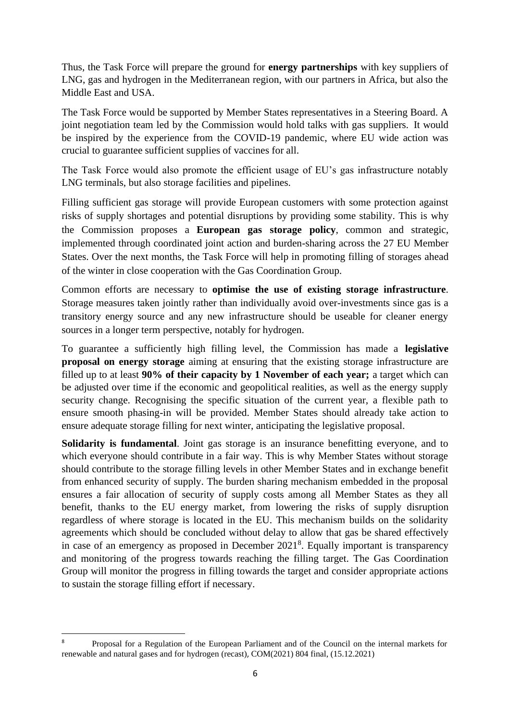Thus, the Task Force will prepare the ground for **energy partnerships** with key suppliers of LNG, gas and hydrogen in the Mediterranean region, with our partners in Africa, but also the Middle East and USA.

The Task Force would be supported by Member States representatives in a Steering Board. A joint negotiation team led by the Commission would hold talks with gas suppliers. It would be inspired by the experience from the COVID-19 pandemic, where EU wide action was crucial to guarantee sufficient supplies of vaccines for all.

The Task Force would also promote the efficient usage of EU's gas infrastructure notably LNG terminals, but also storage facilities and pipelines.

Filling sufficient gas storage will provide European customers with some protection against risks of supply shortages and potential disruptions by providing some stability. This is why the Commission proposes a **European gas storage policy**, common and strategic, implemented through coordinated joint action and burden-sharing across the 27 EU Member States. Over the next months, the Task Force will help in promoting filling of storages ahead of the winter in close cooperation with the Gas Coordination Group.

Common efforts are necessary to **optimise the use of existing storage infrastructure**. Storage measures taken jointly rather than individually avoid over-investments since gas is a transitory energy source and any new infrastructure should be useable for cleaner energy sources in a longer term perspective, notably for hydrogen.

To guarantee a sufficiently high filling level, the Commission has made a **legislative proposal on energy storage** aiming at ensuring that the existing storage infrastructure are filled up to at least **90% of their capacity by 1 November of each year;** a target which can be adjusted over time if the economic and geopolitical realities, as well as the energy supply security change. Recognising the specific situation of the current year, a flexible path to ensure smooth phasing-in will be provided. Member States should already take action to ensure adequate storage filling for next winter, anticipating the legislative proposal.

**Solidarity is fundamental**. Joint gas storage is an insurance benefitting everyone, and to which everyone should contribute in a fair way. This is why Member States without storage should contribute to the storage filling levels in other Member States and in exchange benefit from enhanced security of supply. The burden sharing mechanism embedded in the proposal ensures a fair allocation of security of supply costs among all Member States as they all benefit, thanks to the EU energy market, from lowering the risks of supply disruption regardless of where storage is located in the EU. This mechanism builds on the solidarity agreements which should be concluded without delay to allow that gas be shared effectively in case of an emergency as proposed in December 2021<sup>8</sup>. Equally important is transparency and monitoring of the progress towards reaching the filling target. The Gas Coordination Group will monitor the progress in filling towards the target and consider appropriate actions to sustain the storage filling effort if necessary.

<sup>8</sup> Proposal for a Regulation of the European Parliament and of the Council on the internal markets for renewable and natural gases and for hydrogen (recast), COM(2021) 804 final, (15.12.2021)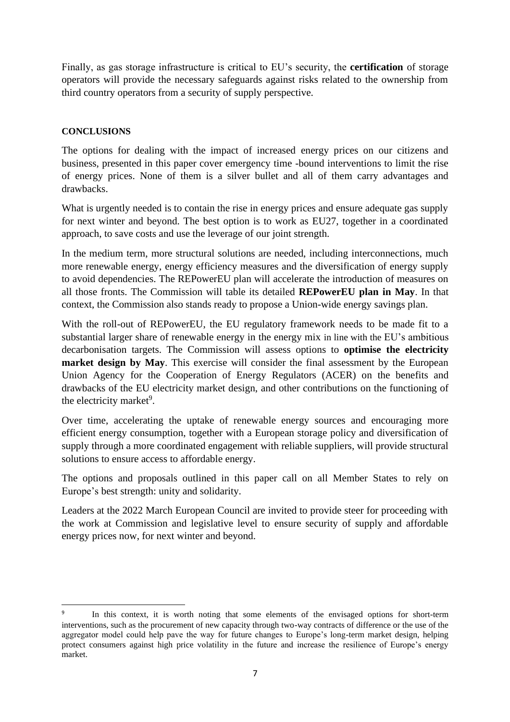Finally, as gas storage infrastructure is critical to EU's security, the **certification** of storage operators will provide the necessary safeguards against risks related to the ownership from third country operators from a security of supply perspective.

# **CONCLUSIONS**

The options for dealing with the impact of increased energy prices on our citizens and business, presented in this paper cover emergency time -bound interventions to limit the rise of energy prices. None of them is a silver bullet and all of them carry advantages and drawbacks.

What is urgently needed is to contain the rise in energy prices and ensure adequate gas supply for next winter and beyond. The best option is to work as EU27, together in a coordinated approach, to save costs and use the leverage of our joint strength.

In the medium term, more structural solutions are needed, including interconnections, much more renewable energy, energy efficiency measures and the diversification of energy supply to avoid dependencies. The REPowerEU plan will accelerate the introduction of measures on all those fronts. The Commission will table its detailed **REPowerEU plan in May**. In that context, the Commission also stands ready to propose a Union-wide energy savings plan.

With the roll-out of REPowerEU, the EU regulatory framework needs to be made fit to a substantial larger share of renewable energy in the energy mix in line with the EU's ambitious decarbonisation targets. The Commission will assess options to **optimise the electricity market design by May**. This exercise will consider the final assessment by the European Union Agency for the Cooperation of Energy Regulators (ACER) on the benefits and drawbacks of the EU electricity market design, and other contributions on the functioning of the electricity market<sup>9</sup>.

Over time, accelerating the uptake of renewable energy sources and encouraging more efficient energy consumption, together with a European storage policy and diversification of supply through a more coordinated engagement with reliable suppliers, will provide structural solutions to ensure access to affordable energy.

The options and proposals outlined in this paper call on all Member States to rely on Europe's best strength: unity and solidarity.

Leaders at the 2022 March European Council are invited to provide steer for proceeding with the work at Commission and legislative level to ensure security of supply and affordable energy prices now, for next winter and beyond.

<sup>9</sup> In this context, it is worth noting that some elements of the envisaged options for short-term interventions, such as the procurement of new capacity through two-way contracts of difference or the use of the aggregator model could help pave the way for future changes to Europe's long-term market design, helping protect consumers against high price volatility in the future and increase the resilience of Europe's energy market.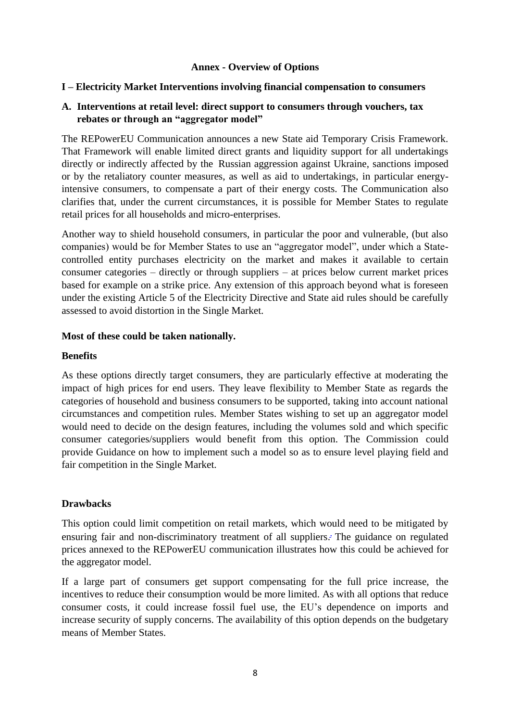### **Annex - Overview of Options**

#### **I – Electricity Market Interventions involving financial compensation to consumers**

### **A. Interventions at retail level: direct support to consumers through vouchers, tax rebates or through an "aggregator model"**

The REPowerEU Communication announces a new State aid Temporary Crisis Framework. That Framework will enable limited direct grants and liquidity support for all undertakings directly or indirectly affected by the Russian aggression against Ukraine, sanctions imposed or by the retaliatory counter measures, as well as aid to undertakings, in particular energyintensive consumers, to compensate a part of their energy costs. The Communication also clarifies that, under the current circumstances, it is possible for Member States to regulate retail prices for all households and micro-enterprises.

Another way to shield household consumers, in particular the poor and vulnerable, (but also companies) would be for Member States to use an "aggregator model", under which a Statecontrolled entity purchases electricity on the market and makes it available to certain consumer categories – directly or through suppliers – at prices below current market prices based for example on a strike price. Any extension of this approach beyond what is foreseen under the existing Article 5 of the Electricity Directive and State aid rules should be carefully assessed to avoid distortion in the Single Market.

#### **Most of these could be taken nationally.**

#### **Benefits**

As these options directly target consumers, they are particularly effective at moderating the impact of high prices for end users. They leave flexibility to Member State as regards the categories of household and business consumers to be supported, taking into account national circumstances and competition rules. Member States wishing to set up an aggregator model would need to decide on the design features, including the volumes sold and which specific consumer categories/suppliers would benefit from this option. The Commission could provide Guidance on how to implement such a model so as to ensure level playing field and fair competition in the Single Market.

### **Drawbacks**

This option could limit competition on retail markets, which would need to be mitigated by ensuring fair and non-discriminatory treatment of all supplier[s.](https://euc-word-edit.officeapps.live.com/we/wordeditorframe.aspx?ui=en%2DUS&rs=en%2DIE&wopisrc=https%3A%2F%2Feceuropaeu.sharepoint.com%2Fteams%2FGRP-MarchEUCOCommunication%2F_vti_bin%2Fwopi.ashx%2Ffiles%2Fea90ee5ef92249fa97c928c7cd2d6cab&wdprevioussession=7960b463-3b70-451c-8524-0300da49f46e&wdorigin=TEAMS-ELECTRON.teams.undefined&wdenableroaming=1&mscc=1&hid=BBAC2AA0-3034-3000-B27F-097461577E63&wdhostclicktime=1647533021169&jsapi=1&jsapiver=v1&newsession=1&corrid=a048543b-0c14-48ec-896e-806c6cde81a1&usid=a048543b-0c14-48ec-896e-806c6cde81a1&sftc=1&mtf=1&sfp=1&instantedit=1&wopicomplete=1&wdredirectionreason=Unified_SingleFlush&rct=Medium&ctp=LeastProtected&_ftn1) **.** The guidance on regulated prices annexed to the REPowerEU communication illustrates how this could be achieved for the aggregator model.

If a large part of consumers get support compensating for the full price increase, the incentives to reduce their consumption would be more limited. As with all options that reduce consumer costs, it could increase fossil fuel use, the EU's dependence on imports and increase security of supply concerns. The availability of this option depends on the budgetary means of Member States.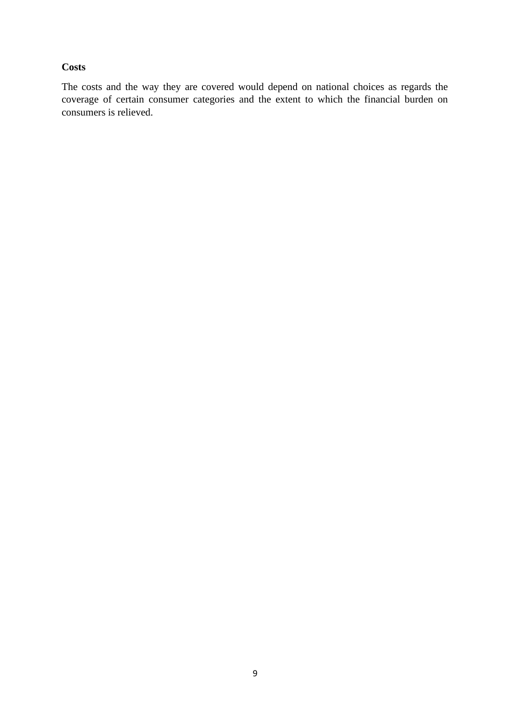### **Costs**

The costs and the way they are covered would depend on national choices as regards the coverage of certain consumer categories and the extent to which the financial burden on consumers is relieved.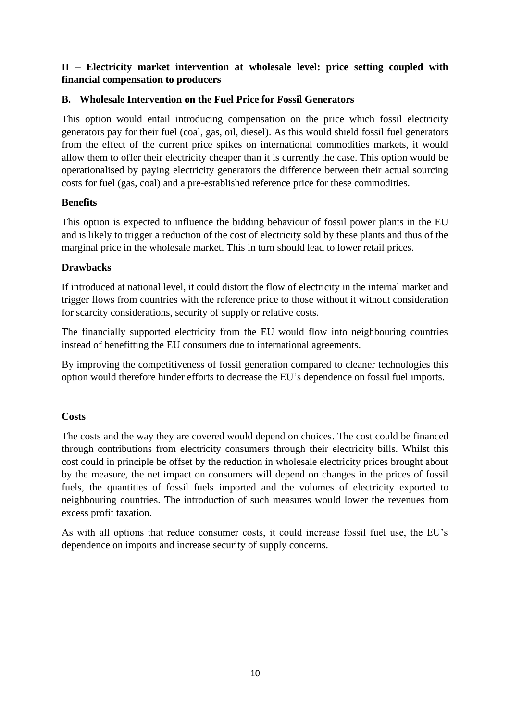# **II – Electricity market intervention at wholesale level: price setting coupled with financial compensation to producers**

# **B. Wholesale Intervention on the Fuel Price for Fossil Generators**

This option would entail introducing compensation on the price which fossil electricity generators pay for their fuel (coal, gas, oil, diesel). As this would shield fossil fuel generators from the effect of the current price spikes on international commodities markets, it would allow them to offer their electricity cheaper than it is currently the case. This option would be operationalised by paying electricity generators the difference between their actual sourcing costs for fuel (gas, coal) and a pre-established reference price for these commodities.

# **Benefits**

This option is expected to influence the bidding behaviour of fossil power plants in the EU and is likely to trigger a reduction of the cost of electricity sold by these plants and thus of the marginal price in the wholesale market. This in turn should lead to lower retail prices.

# **Drawbacks**

If introduced at national level, it could distort the flow of electricity in the internal market and trigger flows from countries with the reference price to those without it without consideration for scarcity considerations, security of supply or relative costs.

The financially supported electricity from the EU would flow into neighbouring countries instead of benefitting the EU consumers due to international agreements.

By improving the competitiveness of fossil generation compared to cleaner technologies this option would therefore hinder efforts to decrease the EU's dependence on fossil fuel imports.

# **Costs**

The costs and the way they are covered would depend on choices. The cost could be financed through contributions from electricity consumers through their electricity bills. Whilst this cost could in principle be offset by the reduction in wholesale electricity prices brought about by the measure, the net impact on consumers will depend on changes in the prices of fossil fuels, the quantities of fossil fuels imported and the volumes of electricity exported to neighbouring countries. The introduction of such measures would lower the revenues from excess profit taxation.

As with all options that reduce consumer costs, it could increase fossil fuel use, the EU's dependence on imports and increase security of supply concerns.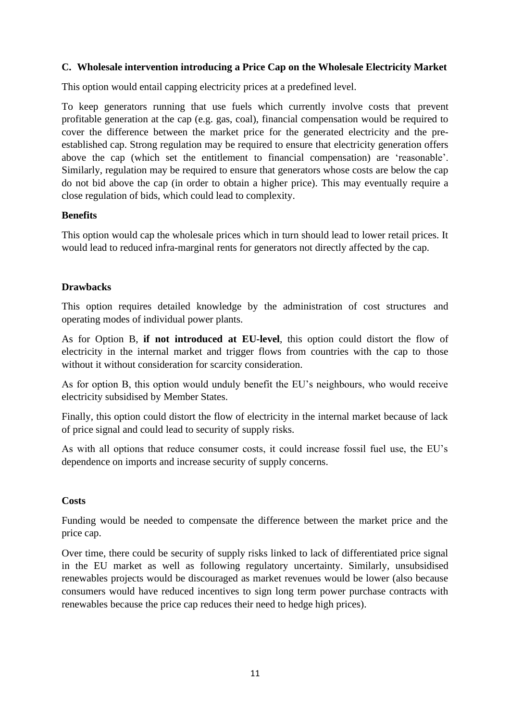### **C. Wholesale intervention introducing a Price Cap on the Wholesale Electricity Market**

This option would entail capping electricity prices at a predefined level.

To keep generators running that use fuels which currently involve costs that prevent profitable generation at the cap (e.g. gas, coal), financial compensation would be required to cover the difference between the market price for the generated electricity and the preestablished cap. Strong regulation may be required to ensure that electricity generation offers above the cap (which set the entitlement to financial compensation) are 'reasonable'. Similarly, regulation may be required to ensure that generators whose costs are below the cap do not bid above the cap (in order to obtain a higher price). This may eventually require a close regulation of bids, which could lead to complexity.

### **Benefits**

This option would cap the wholesale prices which in turn should lead to lower retail prices. It would lead to reduced infra-marginal rents for generators not directly affected by the cap.

### **Drawbacks**

This option requires detailed knowledge by the administration of cost structures and operating modes of individual power plants.

As for Option B, **if not introduced at EU-level**, this option could distort the flow of electricity in the internal market and trigger flows from countries with the cap to those without it without consideration for scarcity consideration.

As for option B, this option would unduly benefit the EU's neighbours, who would receive electricity subsidised by Member States.

Finally, this option could distort the flow of electricity in the internal market because of lack of price signal and could lead to security of supply risks.

As with all options that reduce consumer costs, it could increase fossil fuel use, the EU's dependence on imports and increase security of supply concerns.

### **Costs**

Funding would be needed to compensate the difference between the market price and the price cap.

Over time, there could be security of supply risks linked to lack of differentiated price signal in the EU market as well as following regulatory uncertainty. Similarly, unsubsidised renewables projects would be discouraged as market revenues would be lower (also because consumers would have reduced incentives to sign long term power purchase contracts with renewables because the price cap reduces their need to hedge high prices).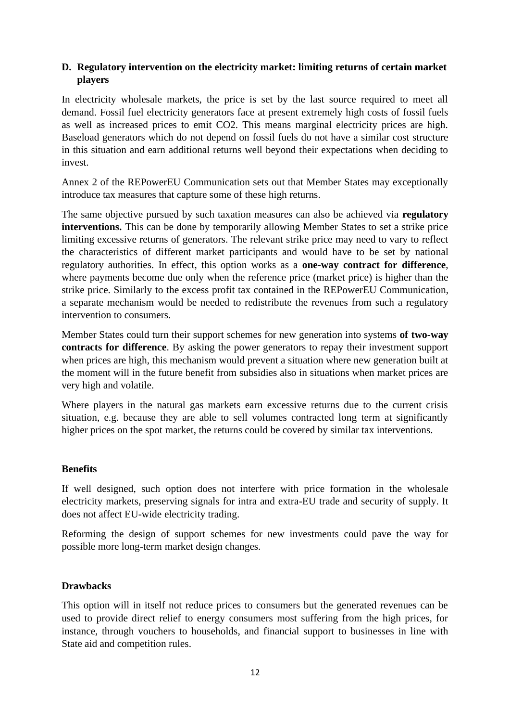# **D. Regulatory intervention on the electricity market: limiting returns of certain market players**

In electricity wholesale markets, the price is set by the last source required to meet all demand. Fossil fuel electricity generators face at present extremely high costs of fossil fuels as well as increased prices to emit CO2. This means marginal electricity prices are high. Baseload generators which do not depend on fossil fuels do not have a similar cost structure in this situation and earn additional returns well beyond their expectations when deciding to invest.

Annex 2 of the REPowerEU Communication sets out that Member States may exceptionally introduce tax measures that capture some of these high returns.

The same objective pursued by such taxation measures can also be achieved via **regulatory interventions.** This can be done by temporarily allowing Member States to set a strike price limiting excessive returns of generators. The relevant strike price may need to vary to reflect the characteristics of different market participants and would have to be set by national regulatory authorities. In effect, this option works as a **one-way contract for difference**, where payments become due only when the reference price (market price) is higher than the strike price. Similarly to the excess profit tax contained in the REPowerEU Communication, a separate mechanism would be needed to redistribute the revenues from such a regulatory intervention to consumers.

Member States could turn their support schemes for new generation into systems **of two-way contracts for difference**. By asking the power generators to repay their investment support when prices are high, this mechanism would prevent a situation where new generation built at the moment will in the future benefit from subsidies also in situations when market prices are very high and volatile.

Where players in the natural gas markets earn excessive returns due to the current crisis situation, e.g. because they are able to sell volumes contracted long term at significantly higher prices on the spot market, the returns could be covered by similar tax interventions.

# **Benefits**

If well designed, such option does not interfere with price formation in the wholesale electricity markets, preserving signals for intra and extra-EU trade and security of supply. It does not affect EU-wide electricity trading.

Reforming the design of support schemes for new investments could pave the way for possible more long-term market design changes.

### **Drawbacks**

This option will in itself not reduce prices to consumers but the generated revenues can be used to provide direct relief to energy consumers most suffering from the high prices, for instance, through vouchers to households, and financial support to businesses in line with State aid and competition rules.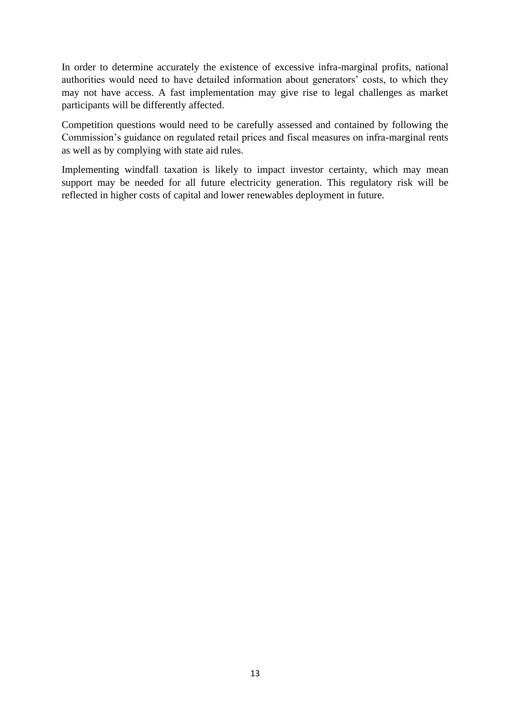In order to determine accurately the existence of excessive infra-marginal profits, national authorities would need to have detailed information about generators' costs, to which they may not have access. A fast implementation may give rise to legal challenges as market participants will be differently affected.

Competition questions would need to be carefully assessed and contained by following the Commission's guidance on regulated retail prices and fiscal measures on infra-marginal rents as well as by complying with state aid rules.

Implementing windfall taxation is likely to impact investor certainty, which may mean support may be needed for all future electricity generation. This regulatory risk will be reflected in higher costs of capital and lower renewables deployment in future.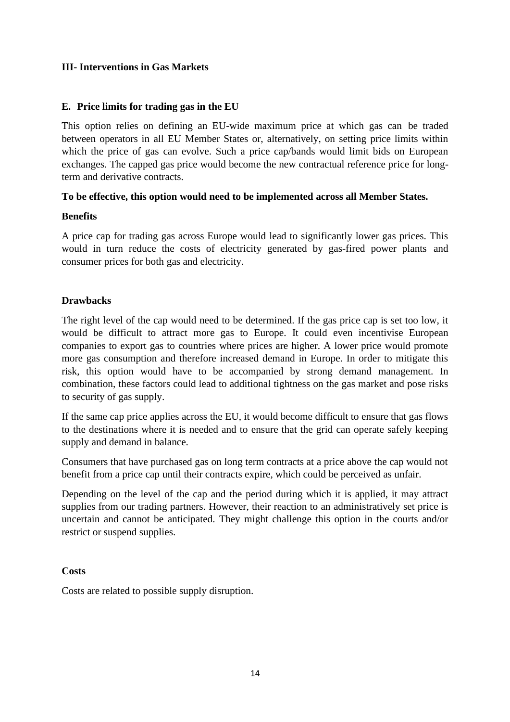### **III- Interventions in Gas Markets**

### **E. Price limits for trading gas in the EU**

This option relies on defining an EU-wide maximum price at which gas can be traded between operators in all EU Member States or, alternatively, on setting price limits within which the price of gas can evolve. Such a price cap/bands would limit bids on European exchanges. The capped gas price would become the new contractual reference price for longterm and derivative contracts.

### **To be effective, this option would need to be implemented across all Member States.**

### **Benefits**

A price cap for trading gas across Europe would lead to significantly lower gas prices. This would in turn reduce the costs of electricity generated by gas-fired power plants and consumer prices for both gas and electricity.

### **Drawbacks**

The right level of the cap would need to be determined. If the gas price cap is set too low, it would be difficult to attract more gas to Europe. It could even incentivise European companies to export gas to countries where prices are higher. A lower price would promote more gas consumption and therefore increased demand in Europe. In order to mitigate this risk, this option would have to be accompanied by strong demand management. In combination, these factors could lead to additional tightness on the gas market and pose risks to security of gas supply.

If the same cap price applies across the EU, it would become difficult to ensure that gas flows to the destinations where it is needed and to ensure that the grid can operate safely keeping supply and demand in balance.

Consumers that have purchased gas on long term contracts at a price above the cap would not benefit from a price cap until their contracts expire, which could be perceived as unfair.

Depending on the level of the cap and the period during which it is applied, it may attract supplies from our trading partners. However, their reaction to an administratively set price is uncertain and cannot be anticipated. They might challenge this option in the courts and/or restrict or suspend supplies.

### **Costs**

Costs are related to possible supply disruption.